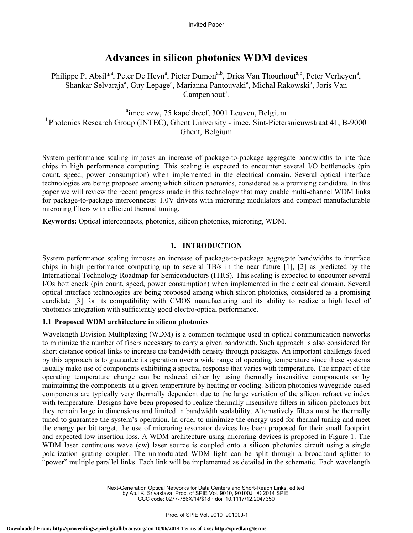# **Advances in silicon photonics WDM devices**

Philippe P. Absil<sup>\*a</sup>, Peter De Heyn<sup>a</sup>, Pieter Dumon<sup>a,b</sup>, Dries Van Thourhout<sup>a,b</sup>, Peter Verheyen<sup>a</sup>, Shankar Selvaraja<sup>a</sup>, Guy Lepage<sup>a</sup>, Marianna Pantouvaki<sup>a</sup>, Michal Rakowski<sup>a</sup>, Joris Van Campenhout<sup>a</sup>.

<sup>a</sup>imec vzw, 75 kapeldreef, 3001 Leuven, Belgium <sup>b</sup>Photonics Research Group (INTEC), Ghent University - imec, Sint-Pietersnieuwstraat 41, B-9000 Ghent, Belgium

System performance scaling imposes an increase of package-to-package aggregate bandwidths to interface chips in high performance computing. This scaling is expected to encounter several I/O bottlenecks (pin count, speed, power consumption) when implemented in the electrical domain. Several optical interface technologies are being proposed among which silicon photonics, considered as a promising candidate. In this paper we will review the recent progress made in this technology that may enable multi-channel WDM links for package-to-package interconnects: 1.0V drivers with microring modulators and compact manufacturable microring filters with efficient thermal tuning.

**Keywords:** Optical interconnects, photonics, silicon photonics, microring, WDM.

# **1. INTRODUCTION**

System performance scaling imposes an increase of package-to-package aggregate bandwidths to interface chips in high performance computing up to several TB/s in the near future [1], [2] as predicted by the International Technology Roadmap for Semiconductors (ITRS). This scaling is expected to encounter several I/Os bottleneck (pin count, speed, power consumption) when implemented in the electrical domain. Several optical interface technologies are being proposed among which silicon photonics, considered as a promising candidate [3] for its compatibility with CMOS manufacturing and its ability to realize a high level of photonics integration with sufficiently good electro-optical performance.

# **1.1 Proposed WDM architecture in silicon photonics**

Wavelength Division Multiplexing (WDM) is a common technique used in optical communication networks to minimize the number of fibers necessary to carry a given bandwidth. Such approach is also considered for short distance optical links to increase the bandwidth density through packages. An important challenge faced by this approach is to guarantee its operation over a wide range of operating temperature since these systems usually make use of components exhibiting a spectral response that varies with temperature. The impact of the operating temperature change can be reduced either by using thermally insensitive components or by maintaining the components at a given temperature by heating or cooling. Silicon photonics waveguide based components are typically very thermally dependent due to the large variation of the silicon refractive index with temperature. Designs have been proposed to realize thermally insensitive filters in silicon photonics but they remain large in dimensions and limited in bandwidth scalability. Alternatively filters must be thermally tuned to guarantee the system's operation. In order to minimize the energy used for thermal tuning and meet the energy per bit target, the use of microring resonator devices has been proposed for their small footprint and expected low insertion loss. A WDM architecture using microring devices is proposed in Figure 1. The WDM laser continuous wave (cw) laser source is coupled onto a silicon photonics circuit using a single polarization grating coupler. The unmodulated WDM light can be split through a broadband splitter to "power" multiple parallel links. Each link will be implemented as detailed in the schematic. Each wavelength

> Next-Generation Optical Networks for Data Centers and Short-Reach Links, edited by Atul K. Srivastava, Proc. of SPIE Vol. 9010, 90100J · © 2014 SPIE CCC code: 0277-786X/14/\$18 · doi: 10.1117/12.2047350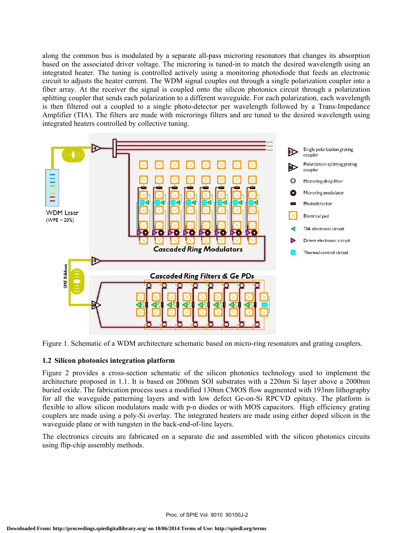along the common bus is modulated by a separate all-pass microring resonators that changes its absorption based on the associated driver voltage. The microring is tuned-in to match the desired wavelength using an integrated heater. The tuning is controlled actively using a monitoring photodiode that feeds an electronic circuit to adjusts the heater current. The WDM signal couples out through a single polarization coupler into a fiber array. At the receiver the signal is coupled onto the silicon photonics circuit through a polarization splitting coupler that sends each polarization to a different waveguide. For each polarization, each wavelength is then filtered out a coupled to a single photo-detector per wavelength followed by a Trans-Impedance Amplifier (TIA). The filters are made with microrings filters and are tuned to the desired wavelength using integrated heaters controlled by collective tuning.



Figure 1. Schematic of a WDM architecture schematic based on micro-ring resonators and grating couplers.

## **1.2 Silicon photonics integration platform**

Figure 2 provides a cross-section schematic of the silicon photonics technology used to implement the architecture proposed in 1.1. It is based on 200mm SOI substrates with a 220nm Si layer above a 2000nm buried oxide. The fabrication process uses a modified 130nm CMOS flow augmented with 193nm lithography for all the waveguide patterning layers and with low defect Ge-on-Si RPCVD epitaxy. The platform is flexible to allow silicon modulators made with p-n diodes or with MOS capacitors. High efficiency grating couplers are made using a poly-Si overlay. The integrated heaters are made using either doped silicon in the waveguide plane or with tungsten in the back-end-of-line layers.

The electronics circuits are fabricated on a separate die and assembled with the silicon photonics circuits using flip-chip assembly methods.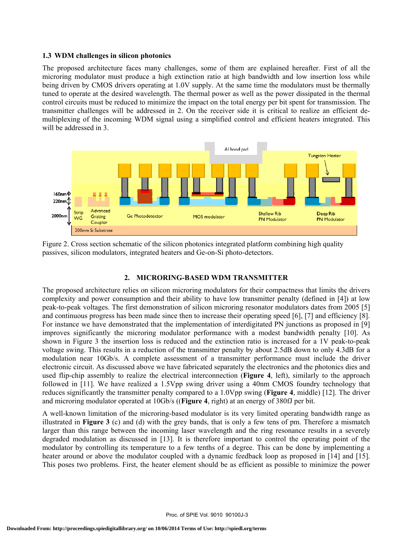## **1.3 WDM challenges in silicon photonics**

The proposed architecture faces many challenges, some of them are explained hereafter. First of all the microring modulator must produce a high extinction ratio at high bandwidth and low insertion loss while being driven by CMOS drivers operating at 1.0V supply. At the same time the modulators must be thermally tuned to operate at the desired wavelength. The thermal power as well as the power dissipated in the thermal control circuits must be reduced to minimize the impact on the total energy per bit spent for transmission. The transmitter challenges will be addressed in 2. On the receiver side it is critical to realize an efficient demultiplexing of the incoming WDM signal using a simplified control and efficient heaters integrated. This will be addressed in 3.



Figure 2. Cross section schematic of the silicon photonics integrated platform combining high quality passives, silicon modulators, integrated heaters and Ge-on-Si photo-detectors.

# **2. MICRORING-BASED WDM TRANSMITTER**

The proposed architecture relies on silicon microring modulators for their compactness that limits the drivers complexity and power consumption and their ability to have low transmitter penalty (defined in [4]) at low peak-to-peak voltages. The first demonstration of silicon microring resonator modulators dates from 2005 [5] and continuous progress has been made since then to increase their operating speed [6], [7] and efficiency [8]. For instance we have demonstrated that the implementation of interdigitated PN junctions as proposed in [9] improves significantly the microring modulator performance with a modest bandwidth penalty [10]. As shown in Figure 3 the insertion loss is reduced and the extinction ratio is increased for a 1V peak-to-peak voltage swing. This results in a reduction of the transmitter penalty by about 2.5dB down to only 4.3dB for a modulation near 10Gb/s. A complete assessment of a transmitter performance must include the driver electronic circuit. As discussed above we have fabricated separately the electronics and the photonics dies and used flip-chip assembly to realize the electrical interconnection (**Figure 4**, left), similarly to the approach followed in [11]. We have realized a 1.5Vpp swing driver using a 40nm CMOS foundry technology that reduces significantly the transmitter penalty compared to a 1.0Vpp swing (**Figure 4**, middle) [12]. The driver and microring modulator operated at 10Gb/s ((**Figure 4**, right) at an energy of 380fJ per bit.

A well-known limitation of the microring-based modulator is its very limited operating bandwidth range as illustrated in **Figure 3** (c) and (d) with the grey bands, that is only a few tens of pm. Therefore a mismatch larger than this range between the incoming laser wavelength and the ring resonance results in a severely degraded modulation as discussed in [13]. It is therefore important to control the operating point of the modulator by controlling its temperature to a few tenths of a degree. This can be done by implementing a heater around or above the modulator coupled with a dynamic feedback loop as proposed in [14] and [15]. This poses two problems. First, the heater element should be as efficient as possible to minimize the power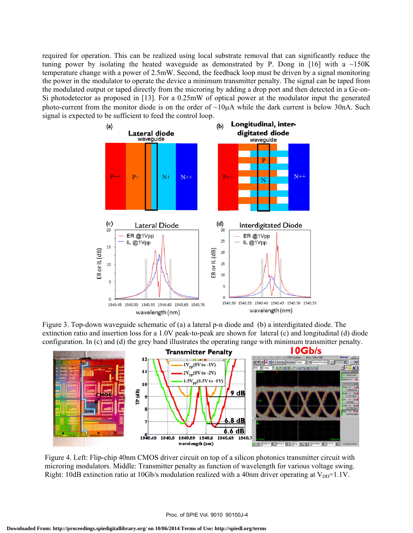required for operation. This can be realized using local substrate removal that can significantly reduce the tuning power by isolating the heated waveguide as demonstrated by P. Dong in [16] with a  $\sim$ 150K temperature change with a power of 2.5mW. Second, the feedback loop must be driven by a signal monitoring the power in the modulator to operate the device a minimum transmitter penalty. The signal can be taped from the modulated output or taped directly from the microring by adding a drop port and then detected in a Ge-on-Si photodetector as proposed in [13]. For a 0.25mW of optical power at the modulator input the generated photo-current from the monitor diode is on the order of  $\sim 10\mu A$  while the dark current is below 30nA. Such signal is expected to be sufficient to feed the control loop.



extinction ratio and insertion loss for a 1.0V peak-to-peak are shown for lateral (c) and longitudinal (d) diode configuration. In (c) and (d) the grev band illustrates the operating range with minimum transmitter penalty. Figure 3. Top-down waveguide schematic of (a) a lateral p-n diode and (b) a interdigitated diode. The configuration. In (c) and (d) the grey band illustrates the operating range with minimum transmitter penalty.



Figure 4. Left: Flip-chip 40nm CMOS driver circuit on top of a silicon photonics transmitter circuit with microring modulators. Middle: Transmitter penalty as function of wavelength for various voltage swing. Right: 10dB extinction ratio at 10Gb/s modulation realized with a 40nm driver operating at  $V_{DD}$ =1.1V.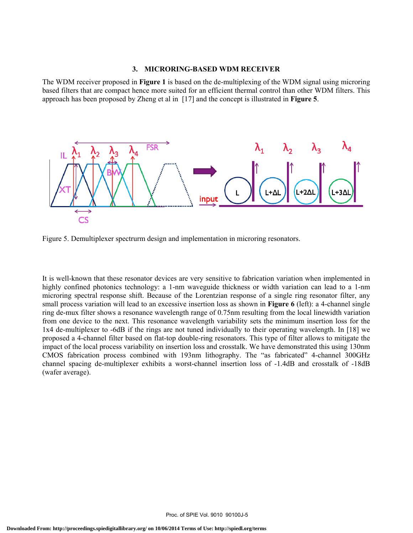#### **3. MICRORING-BASED WDM RECEIVER**

The WDM receiver proposed in **Figure 1** is based on the de-multiplexing of the WDM signal using microring based filters that are compact hence more suited for an efficient thermal control than other WDM filters. This approach has been proposed by Zheng et al in [17] and the concept is illustrated in **Figure 5**.



Figure 5. Demultiplexer spectrurm design and implementation in microring resonators.

It is well-known that these resonator devices are very sensitive to fabrication variation when implemented in highly confined photonics technology: a 1-nm waveguide thickness or width variation can lead to a 1-nm microring spectral response shift. Because of the Lorentzian response of a single ring resonator filter, any small process variation will lead to an excessive insertion loss as shown in **Figure 6** (left): a 4-channel single ring de-mux filter shows a resonance wavelength range of 0.75nm resulting from the local linewidth variation from one device to the next. This resonance wavelength variability sets the minimum insertion loss for the 1x4 de-multiplexer to -6dB if the rings are not tuned individually to their operating wavelength. In [18] we proposed a 4-channel filter based on flat-top double-ring resonators. This type of filter allows to mitigate the impact of the local process variability on insertion loss and crosstalk. We have demonstrated this using 130nm CMOS fabrication process combined with 193nm lithography. The "as fabricated" 4-channel 300GHz channel spacing de-multiplexer exhibits a worst-channel insertion loss of -1.4dB and crosstalk of -18dB (wafer average).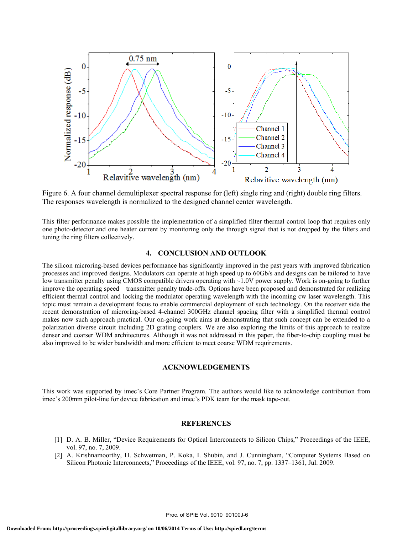

Figure 6. A four channel demultiplexer spectral response for (left) single ring and (right) double ring filters. The responses wavelength is normalized to the designed channel center wavelength.

This filter performance makes possible the implementation of a simplified filter thermal control loop that requires only one photo-detector and one heater current by monitoring only the through signal that is not dropped by the filters and tuning the ring filters collectively.

#### **4. CONCLUSION AND OUTLOOK**

The silicon microring-based devices performance has significantly improved in the past years with improved fabrication processes and improved designs. Modulators can operate at high speed up to 60Gb/s and designs can be tailored to have low transmitter penalty using CMOS compatible drivers operating with ~1.0V power supply. Work is on-going to further improve the operating speed – transmitter penalty trade-offs. Options have been proposed and demonstrated for realizing efficient thermal control and locking the modulator operating wavelength with the incoming cw laser wavelength. This topic must remain a development focus to enable commercial deployment of such technology. On the receiver side the recent demonstration of microring-based 4-channel 300GHz channel spacing filter with a simplified thermal control makes now such approach practical. Our on-going work aims at demonstrating that such concept can be extended to a polarization diverse circuit including 2D grating couplers. We are also exploring the limits of this approach to realize denser and coarser WDM architectures. Although it was not addressed in this paper, the fiber-to-chip coupling must be also improved to be wider bandwidth and more efficient to meet coarse WDM requirements.

### **ACKNOWLEDGEMENTS**

This work was supported by imec's Core Partner Program. The authors would like to acknowledge contribution from imec's 200mm pilot-line for device fabrication and imec's PDK team for the mask tape-out.

#### **REFERENCES**

- [1] D. A. B. Miller, "Device Requirements for Optical Interconnects to Silicon Chips," Proceedings of the IEEE, vol. 97, no. 7, 2009.
- [2] A. Krishnamoorthy, H. Schwetman, P. Koka, I. Shubin, and J. Cunningham, "Computer Systems Based on Silicon Photonic Interconnects," Proceedings of the IEEE, vol. 97, no. 7, pp. 1337–1361, Jul. 2009.